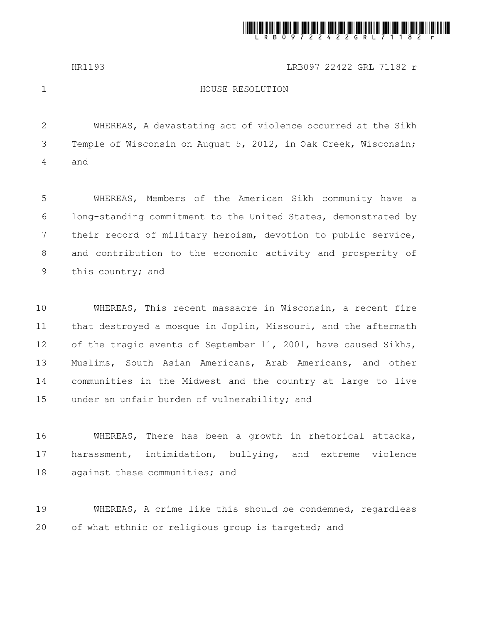

HR1193 LRB097 22422 GRL 71182 r

1

## HOUSE RESOLUTION

WHEREAS, A devastating act of violence occurred at the Sikh Temple of Wisconsin on August 5, 2012, in Oak Creek, Wisconsin; and 2 3 4

WHEREAS, Members of the American Sikh community have a long-standing commitment to the United States, demonstrated by their record of military heroism, devotion to public service, and contribution to the economic activity and prosperity of this country; and 5 6 7 8 9

WHEREAS, This recent massacre in Wisconsin, a recent fire that destroyed a mosque in Joplin, Missouri, and the aftermath of the tragic events of September 11, 2001, have caused Sikhs, Muslims, South Asian Americans, Arab Americans, and other communities in the Midwest and the country at large to live under an unfair burden of vulnerability; and 10 11 12 13 14 15

WHEREAS, There has been a growth in rhetorical attacks, harassment, intimidation, bullying, and extreme violence against these communities; and 16 17 18

WHEREAS, A crime like this should be condemned, regardless of what ethnic or religious group is targeted; and 19 20